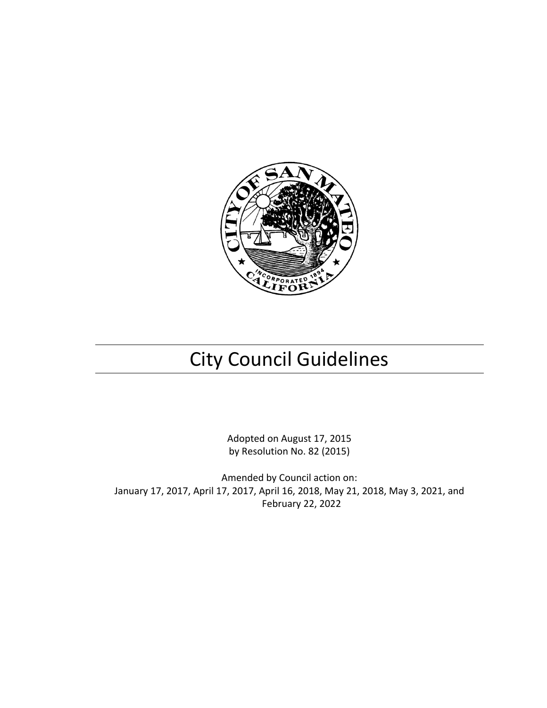

# City Council Guidelines

Adopted on August 17, 2015 by Resolution No. 82 (2015)

Amended by Council action on: January 17, 2017, April 17, 2017, April 16, 2018, May 21, 2018, May 3, 2021, and February 22, 2022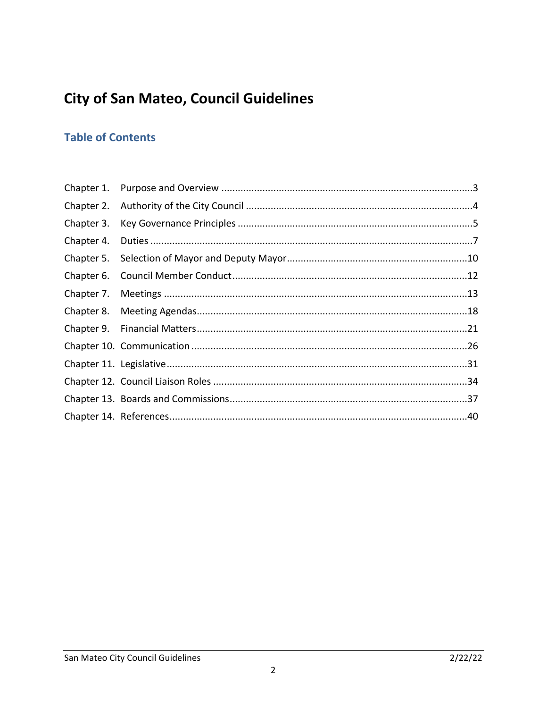## **City of San Mateo, Council Guidelines**

#### **Table of Contents**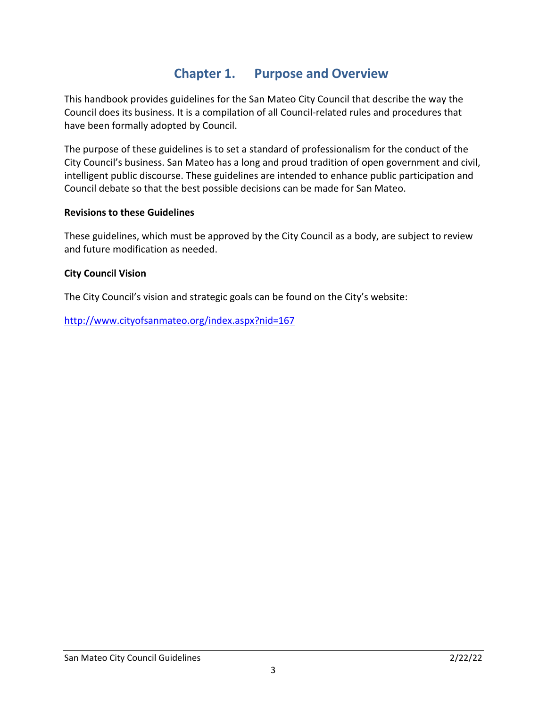#### **Chapter 1. Purpose and Overview**

<span id="page-2-0"></span>This handbook provides guidelines for the San Mateo City Council that describe the way the Council does its business. It is a compilation of all Council-related rules and procedures that have been formally adopted by Council.

The purpose of these guidelines is to set a standard of professionalism for the conduct of the City Council's business. San Mateo has a long and proud tradition of open government and civil, intelligent public discourse. These guidelines are intended to enhance public participation and Council debate so that the best possible decisions can be made for San Mateo.

#### **Revisions to these Guidelines**

These guidelines, which must be approved by the City Council as a body, are subject to review and future modification as needed.

#### **City Council Vision**

The City Council's vision and strategic goals can be found on the City's website:

<http://www.cityofsanmateo.org/index.aspx?nid=167>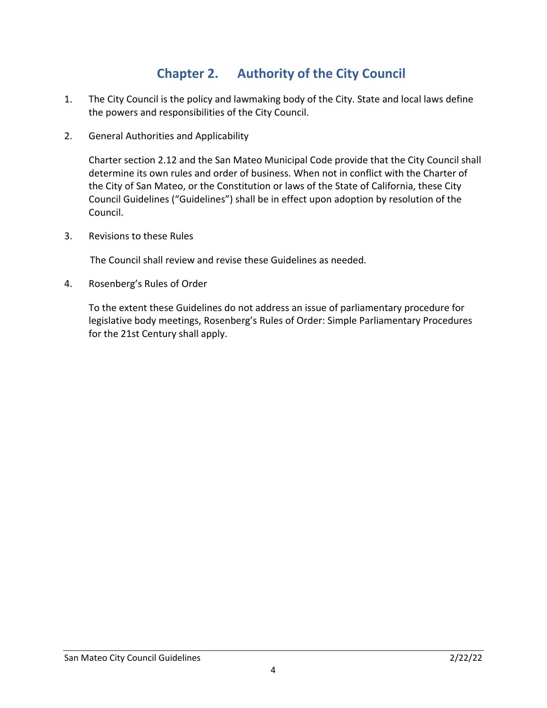### **Chapter 2. Authority of the City Council**

- <span id="page-3-0"></span>1. The City Council is the policy and lawmaking body of the City. State and local laws define the powers and responsibilities of the City Council.
- 2. General Authorities and Applicability

Charter section 2.12 and the San Mateo Municipal Code provide that the City Council shall determine its own rules and order of business. When not in conflict with the Charter of the City of San Mateo, or the Constitution or laws of the State of California, these City Council Guidelines ("Guidelines") shall be in effect upon adoption by resolution of the Council.

3. Revisions to these Rules

The Council shall review and revise these Guidelines as needed.

4. Rosenberg's Rules of Order

<span id="page-3-1"></span>To the extent these Guidelines do not address an issue of parliamentary procedure for legislative body meetings, Rosenberg's Rules of Order: Simple Parliamentary Procedures for the 21st Century shall apply.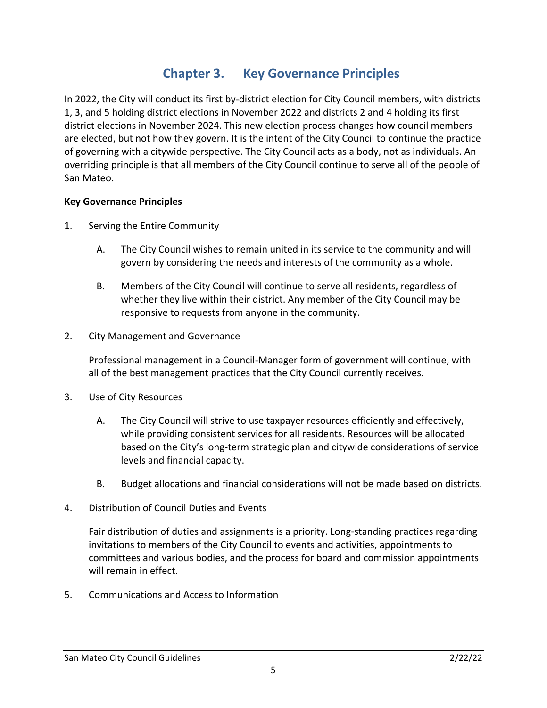### **Chapter 3. Key Governance Principles**

In 2022, the City will conduct its first by-district election for City Council members, with districts 1, 3, and 5 holding district elections in November 2022 and districts 2 and 4 holding its first district elections in November 2024. This new election process changes how council members are elected, but not how they govern. It is the intent of the City Council to continue the practice of governing with a citywide perspective. The City Council acts as a body, not as individuals. An overriding principle is that all members of the City Council continue to serve all of the people of San Mateo.

#### **Key Governance Principles**

- 1. Serving the Entire Community
	- A. The City Council wishes to remain united in its service to the community and will govern by considering the needs and interests of the community as a whole.
	- B. Members of the City Council will continue to serve all residents, regardless of whether they live within their district. Any member of the City Council may be responsive to requests from anyone in the community.
- 2. City Management and Governance

Professional management in a Council-Manager form of government will continue, with all of the best management practices that the City Council currently receives.

- 3. Use of City Resources
	- A. The City Council will strive to use taxpayer resources efficiently and effectively, while providing consistent services for all residents. Resources will be allocated based on the City's long-term strategic plan and citywide considerations of service levels and financial capacity.
	- B. Budget allocations and financial considerations will not be made based on districts.
- 4. Distribution of Council Duties and Events

Fair distribution of duties and assignments is a priority. Long-standing practices regarding invitations to members of the City Council to events and activities, appointments to committees and various bodies, and the process for board and commission appointments will remain in effect.

5. Communications and Access to Information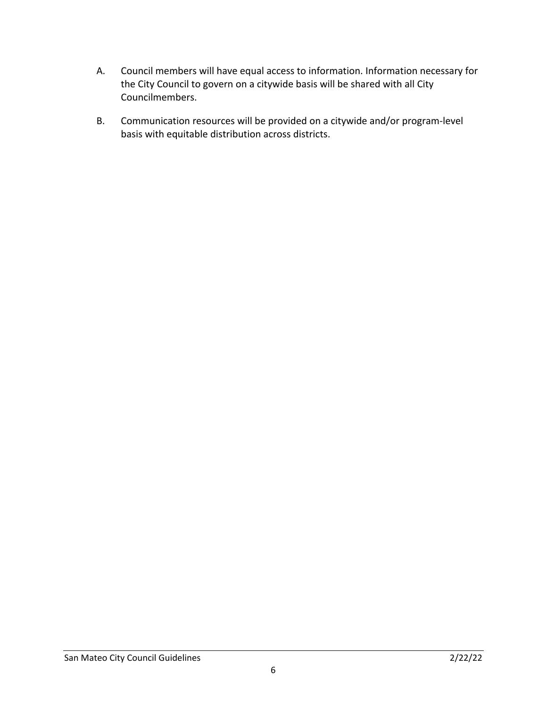- A. Council members will have equal access to information. Information necessary for the City Council to govern on a citywide basis will be shared with all City Councilmembers.
- B. Communication resources will be provided on a citywide and/or program-level basis with equitable distribution across districts.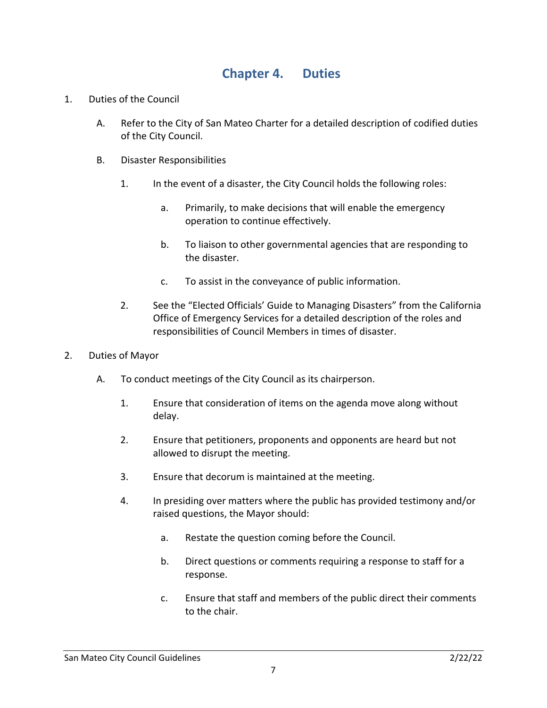#### **Chapter 4. Duties**

- <span id="page-6-0"></span>1. Duties of the Council
	- A. Refer to the City of San Mateo Charter for a detailed description of codified duties of the City Council.
	- B. Disaster Responsibilities
		- 1. In the event of a disaster, the City Council holds the following roles:
			- a. Primarily, to make decisions that will enable the emergency operation to continue effectively.
			- b. To liaison to other governmental agencies that are responding to the disaster.
			- c. To assist in the conveyance of public information.
		- 2. See the "Elected Officials' Guide to Managing Disasters" from the California Office of Emergency Services for a detailed description of the roles and responsibilities of Council Members in times of disaster.
- 2. Duties of Mayor
	- A. To conduct meetings of the City Council as its chairperson.
		- 1. Ensure that consideration of items on the agenda move along without delay.
		- 2. Ensure that petitioners, proponents and opponents are heard but not allowed to disrupt the meeting.
		- 3. Ensure that decorum is maintained at the meeting.
		- 4. In presiding over matters where the public has provided testimony and/or raised questions, the Mayor should:
			- a. Restate the question coming before the Council.
			- b. Direct questions or comments requiring a response to staff for a response.
			- c. Ensure that staff and members of the public direct their comments to the chair.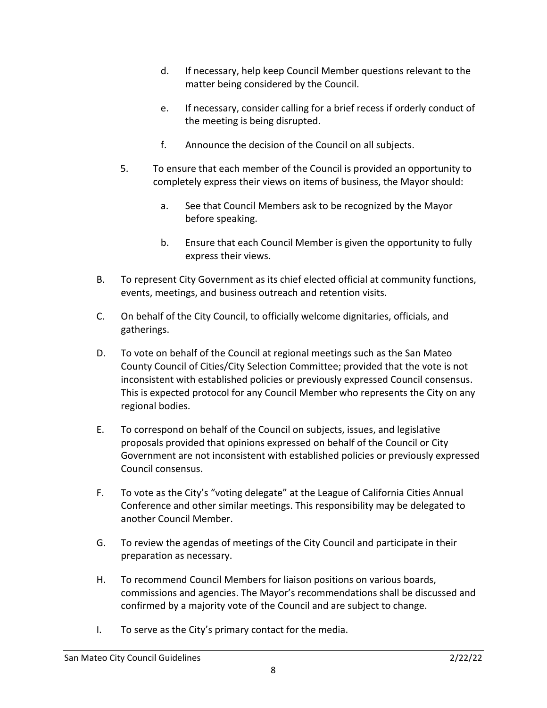- d. If necessary, help keep Council Member questions relevant to the matter being considered by the Council.
- e. If necessary, consider calling for a brief recess if orderly conduct of the meeting is being disrupted.
- f. Announce the decision of the Council on all subjects.
- 5. To ensure that each member of the Council is provided an opportunity to completely express their views on items of business, the Mayor should:
	- a. See that Council Members ask to be recognized by the Mayor before speaking.
	- b. Ensure that each Council Member is given the opportunity to fully express their views.
- B. To represent City Government as its chief elected official at community functions, events, meetings, and business outreach and retention visits.
- C. On behalf of the City Council, to officially welcome dignitaries, officials, and gatherings.
- D. To vote on behalf of the Council at regional meetings such as the San Mateo County Council of Cities/City Selection Committee; provided that the vote is not inconsistent with established policies or previously expressed Council consensus. This is expected protocol for any Council Member who represents the City on any regional bodies.
- E. To correspond on behalf of the Council on subjects, issues, and legislative proposals provided that opinions expressed on behalf of the Council or City Government are not inconsistent with established policies or previously expressed Council consensus.
- F. To vote as the City's "voting delegate" at the League of California Cities Annual Conference and other similar meetings. This responsibility may be delegated to another Council Member.
- G. To review the agendas of meetings of the City Council and participate in their preparation as necessary.
- H. To recommend Council Members for liaison positions on various boards, commissions and agencies. The Mayor's recommendations shall be discussed and confirmed by a majority vote of the Council and are subject to change.
- I. To serve as the City's primary contact for the media.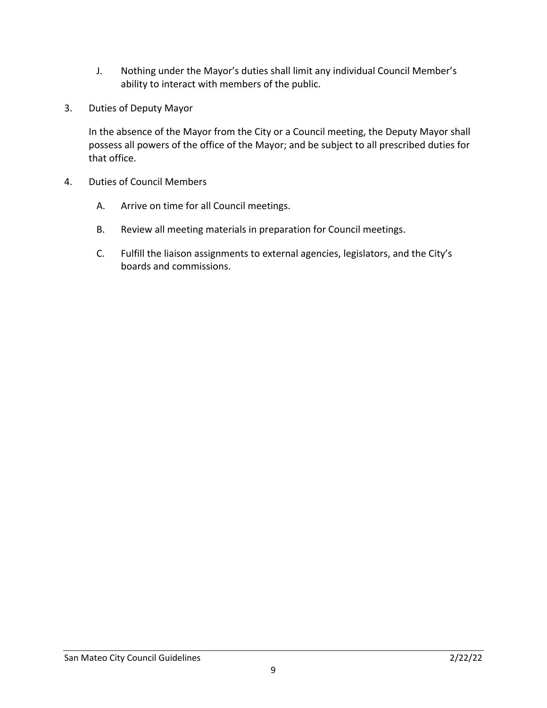- J. Nothing under the Mayor's duties shall limit any individual Council Member's ability to interact with members of the public.
- 3. Duties of Deputy Mayor

In the absence of the Mayor from the City or a Council meeting, the Deputy Mayor shall possess all powers of the office of the Mayor; and be subject to all prescribed duties for that office.

- 4. Duties of Council Members
	- A. Arrive on time for all Council meetings.
	- B. Review all meeting materials in preparation for Council meetings.
	- C. Fulfill the liaison assignments to external agencies, legislators, and the City's boards and commissions.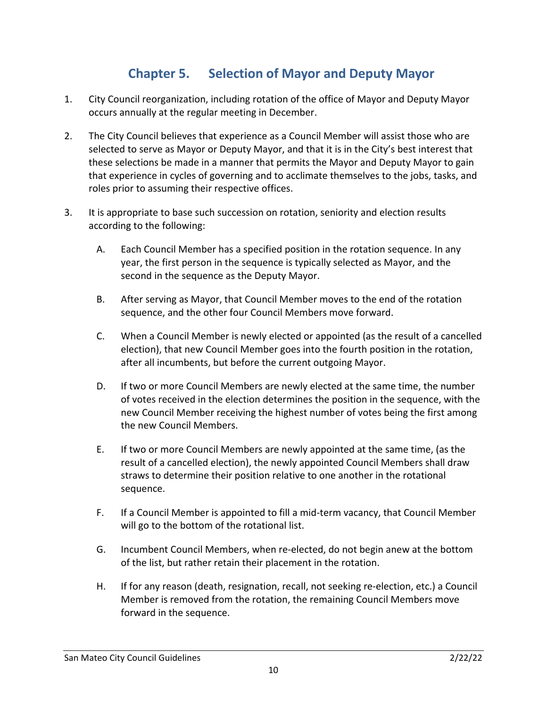### **Chapter 5. Selection of Mayor and Deputy Mayor**

- <span id="page-9-0"></span>1. City Council reorganization, including rotation of the office of Mayor and Deputy Mayor occurs annually at the regular meeting in December.
- 2. The City Council believes that experience as a Council Member will assist those who are selected to serve as Mayor or Deputy Mayor, and that it is in the City's best interest that these selections be made in a manner that permits the Mayor and Deputy Mayor to gain that experience in cycles of governing and to acclimate themselves to the jobs, tasks, and roles prior to assuming their respective offices.
- 3. It is appropriate to base such succession on rotation, seniority and election results according to the following:
	- A. Each Council Member has a specified position in the rotation sequence. In any year, the first person in the sequence is typically selected as Mayor, and the second in the sequence as the Deputy Mayor.
	- B. After serving as Mayor, that Council Member moves to the end of the rotation sequence, and the other four Council Members move forward.
	- C. When a Council Member is newly elected or appointed (as the result of a cancelled election), that new Council Member goes into the fourth position in the rotation, after all incumbents, but before the current outgoing Mayor.
	- D. If two or more Council Members are newly elected at the same time, the number of votes received in the election determines the position in the sequence, with the new Council Member receiving the highest number of votes being the first among the new Council Members.
	- E. If two or more Council Members are newly appointed at the same time, (as the result of a cancelled election), the newly appointed Council Members shall draw straws to determine their position relative to one another in the rotational sequence.
	- F. If a Council Member is appointed to fill a mid-term vacancy, that Council Member will go to the bottom of the rotational list.
	- G. Incumbent Council Members, when re-elected, do not begin anew at the bottom of the list, but rather retain their placement in the rotation.
	- H. If for any reason (death, resignation, recall, not seeking re-election, etc.) a Council Member is removed from the rotation, the remaining Council Members move forward in the sequence.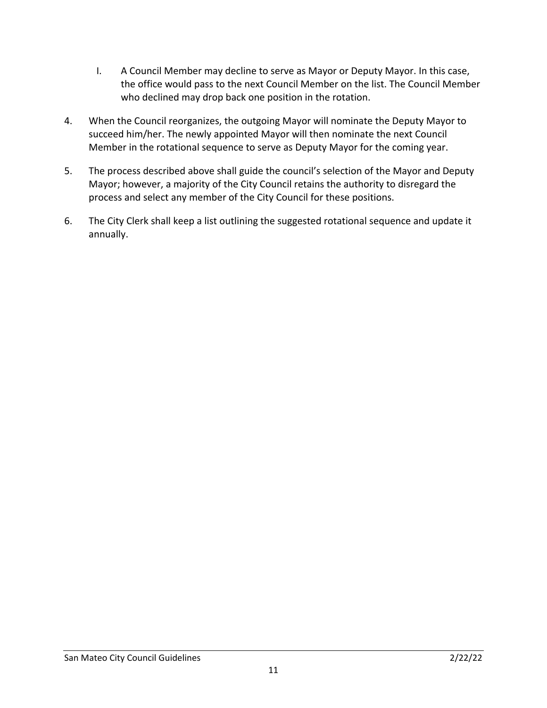- I. A Council Member may decline to serve as Mayor or Deputy Mayor. In this case, the office would pass to the next Council Member on the list. The Council Member who declined may drop back one position in the rotation.
- 4. When the Council reorganizes, the outgoing Mayor will nominate the Deputy Mayor to succeed him/her. The newly appointed Mayor will then nominate the next Council Member in the rotational sequence to serve as Deputy Mayor for the coming year.
- 5. The process described above shall guide the council's selection of the Mayor and Deputy Mayor; however, a majority of the City Council retains the authority to disregard the process and select any member of the City Council for these positions.
- 6. The City Clerk shall keep a list outlining the suggested rotational sequence and update it annually.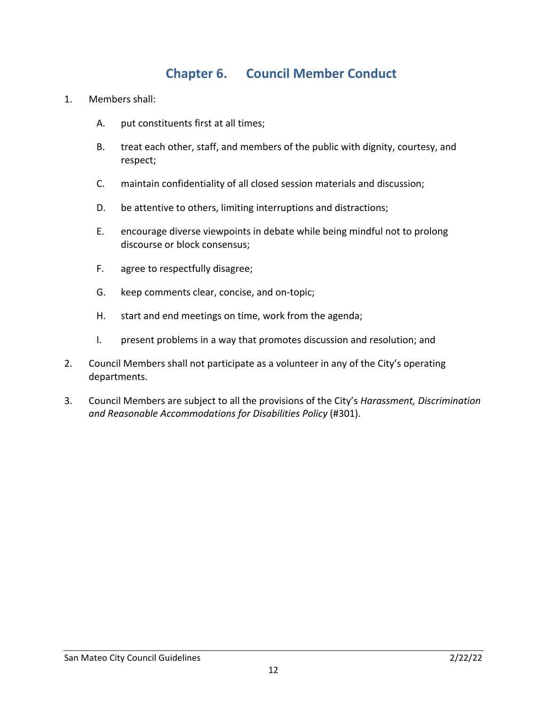#### **Chapter 6. Council Member Conduct**

- <span id="page-11-0"></span>1. Members shall:
	- A. put constituents first at all times;
	- B. treat each other, staff, and members of the public with dignity, courtesy, and respect;
	- C. maintain confidentiality of all closed session materials and discussion;
	- D. be attentive to others, limiting interruptions and distractions;
	- E. encourage diverse viewpoints in debate while being mindful not to prolong discourse or block consensus;
	- F. agree to respectfully disagree;
	- G. keep comments clear, concise, and on-topic;
	- H. start and end meetings on time, work from the agenda;
	- I. present problems in a way that promotes discussion and resolution; and
- 2. Council Members shall not participate as a volunteer in any of the City's operating departments.
- 3. Council Members are subject to all the provisions of the City's *Harassment, Discrimination and Reasonable Accommodations for Disabilities Policy* (#301).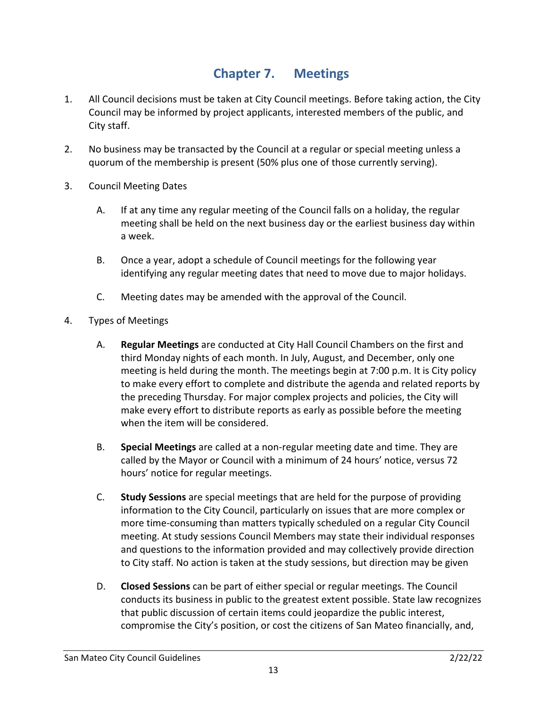#### **Chapter 7. Meetings**

- <span id="page-12-0"></span>1. All Council decisions must be taken at City Council meetings. Before taking action, the City Council may be informed by project applicants, interested members of the public, and City staff.
- 2. No business may be transacted by the Council at a regular or special meeting unless a quorum of the membership is present (50% plus one of those currently serving).
- 3. Council Meeting Dates
	- A. If at any time any regular meeting of the Council falls on a holiday, the regular meeting shall be held on the next business day or the earliest business day within a week.
	- B. Once a year, adopt a schedule of Council meetings for the following year identifying any regular meeting dates that need to move due to major holidays.
	- C. Meeting dates may be amended with the approval of the Council.
- 4. Types of Meetings
	- A. **Regular Meetings** are conducted at City Hall Council Chambers on the first and third Monday nights of each month. In July, August, and December, only one meeting is held during the month. The meetings begin at 7:00 p.m. It is City policy to make every effort to complete and distribute the agenda and related reports by the preceding Thursday. For major complex projects and policies, the City will make every effort to distribute reports as early as possible before the meeting when the item will be considered.
	- B. **Special Meetings** are called at a non-regular meeting date and time. They are called by the Mayor or Council with a minimum of 24 hours' notice, versus 72 hours' notice for regular meetings.
	- C. **Study Sessions** are special meetings that are held for the purpose of providing information to the City Council, particularly on issues that are more complex or more time-consuming than matters typically scheduled on a regular City Council meeting. At study sessions Council Members may state their individual responses and questions to the information provided and may collectively provide direction to City staff. No action is taken at the study sessions, but direction may be given
	- D. **Closed Sessions** can be part of either special or regular meetings. The Council conducts its business in public to the greatest extent possible. State law recognizes that public discussion of certain items could jeopardize the public interest, compromise the City's position, or cost the citizens of San Mateo financially, and,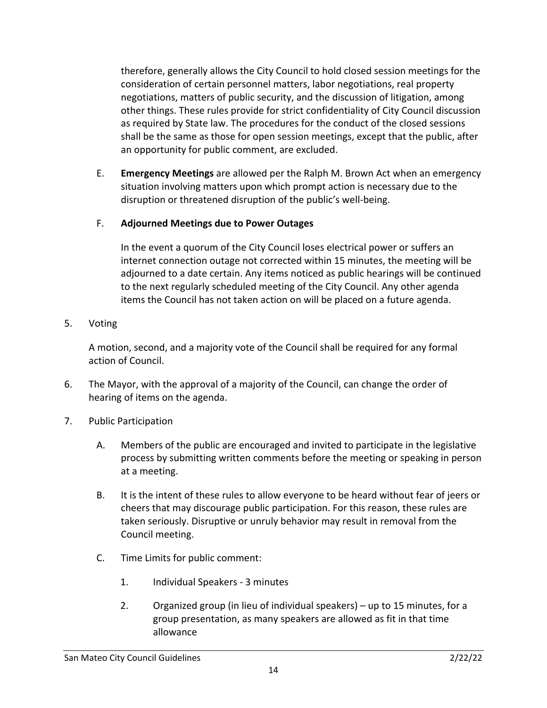therefore, generally allows the City Council to hold closed session meetings for the consideration of certain personnel matters, labor negotiations, real property negotiations, matters of public security, and the discussion of litigation, among other things. These rules provide for strict confidentiality of City Council discussion as required by State law. The procedures for the conduct of the closed sessions shall be the same as those for open session meetings, except that the public, after an opportunity for public comment, are excluded.

E. **Emergency Meetings** are allowed per the Ralph M. Brown Act when an emergency situation involving matters upon which prompt action is necessary due to the disruption or threatened disruption of the public's well-being.

#### F. **Adjourned Meetings due to Power Outages**

In the event a quorum of the City Council loses electrical power or suffers an internet connection outage not corrected within 15 minutes, the meeting will be adjourned to a date certain. Any items noticed as public hearings will be continued to the next regularly scheduled meeting of the City Council. Any other agenda items the Council has not taken action on will be placed on a future agenda.

5. Voting

A motion, second, and a majority vote of the Council shall be required for any formal action of Council.

- 6. The Mayor, with the approval of a majority of the Council, can change the order of hearing of items on the agenda.
- 7. Public Participation
	- A. Members of the public are encouraged and invited to participate in the legislative process by submitting written comments before the meeting or speaking in person at a meeting.
	- B. It is the intent of these rules to allow everyone to be heard without fear of jeers or cheers that may discourage public participation. For this reason, these rules are taken seriously. Disruptive or unruly behavior may result in removal from the Council meeting.
	- C. Time Limits for public comment:
		- 1. Individual Speakers 3 minutes
		- 2. Organized group (in lieu of individual speakers) up to 15 minutes, for a group presentation, as many speakers are allowed as fit in that time allowance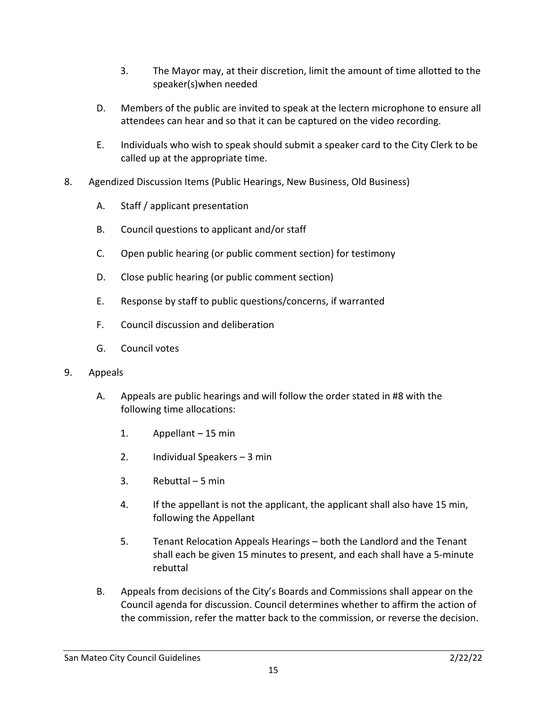- 3. The Mayor may, at their discretion, limit the amount of time allotted to the speaker(s)when needed
- D. Members of the public are invited to speak at the lectern microphone to ensure all attendees can hear and so that it can be captured on the video recording.
- E. Individuals who wish to speak should submit a speaker card to the City Clerk to be called up at the appropriate time.
- 8. Agendized Discussion Items (Public Hearings, New Business, Old Business)
	- A. Staff / applicant presentation
	- B. Council questions to applicant and/or staff
	- C. Open public hearing (or public comment section) for testimony
	- D. Close public hearing (or public comment section)
	- E. Response by staff to public questions/concerns, if warranted
	- F. Council discussion and deliberation
	- G. Council votes
- 9. Appeals
	- A. Appeals are public hearings and will follow the order stated in #8 with the following time allocations:
		- 1. Appellant 15 min
		- 2. Individual Speakers 3 min
		- 3. Rebuttal 5 min
		- 4. If the appellant is not the applicant, the applicant shall also have 15 min, following the Appellant
		- 5. Tenant Relocation Appeals Hearings both the Landlord and the Tenant shall each be given 15 minutes to present, and each shall have a 5-minute rebuttal
	- B. Appeals from decisions of the City's Boards and Commissions shall appear on the Council agenda for discussion. Council determines whether to affirm the action of the commission, refer the matter back to the commission, or reverse the decision.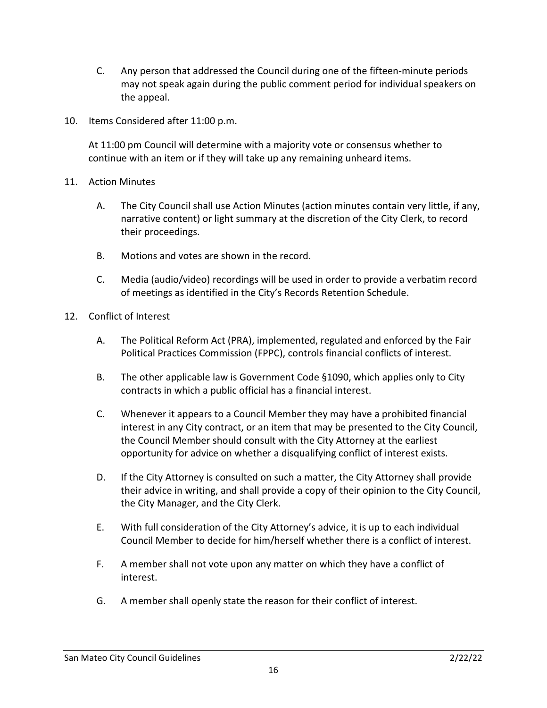- C. Any person that addressed the Council during one of the fifteen-minute periods may not speak again during the public comment period for individual speakers on the appeal.
- 10. Items Considered after 11:00 p.m.

At 11:00 pm Council will determine with a majority vote or consensus whether to continue with an item or if they will take up any remaining unheard items.

- 11. Action Minutes
	- A. The City Council shall use Action Minutes (action minutes contain very little, if any, narrative content) or light summary at the discretion of the City Clerk, to record their proceedings.
	- B. Motions and votes are shown in the record.
	- C. Media (audio/video) recordings will be used in order to provide a verbatim record of meetings as identified in the City's Records Retention Schedule.
- 12. Conflict of Interest
	- A. The Political Reform Act (PRA), implemented, regulated and enforced by the Fair Political Practices Commission (FPPC), controls financial conflicts of interest.
	- B. The other applicable law is Government Code §1090, which applies only to City contracts in which a public official has a financial interest.
	- C. Whenever it appears to a Council Member they may have a prohibited financial interest in any City contract, or an item that may be presented to the City Council, the Council Member should consult with the City Attorney at the earliest opportunity for advice on whether a disqualifying conflict of interest exists.
	- D. If the City Attorney is consulted on such a matter, the City Attorney shall provide their advice in writing, and shall provide a copy of their opinion to the City Council, the City Manager, and the City Clerk.
	- E. With full consideration of the City Attorney's advice, it is up to each individual Council Member to decide for him/herself whether there is a conflict of interest.
	- F. A member shall not vote upon any matter on which they have a conflict of interest.
	- G. A member shall openly state the reason for their conflict of interest.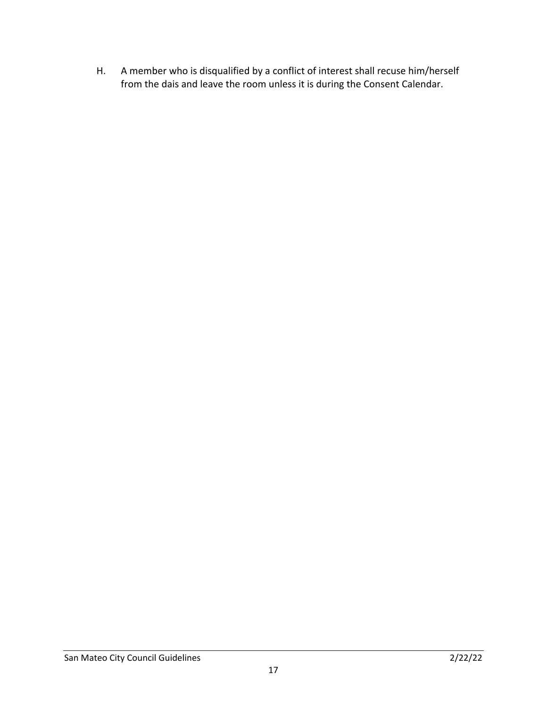H. A member who is disqualified by a conflict of interest shall recuse him/herself from the dais and leave the room unless it is during the Consent Calendar.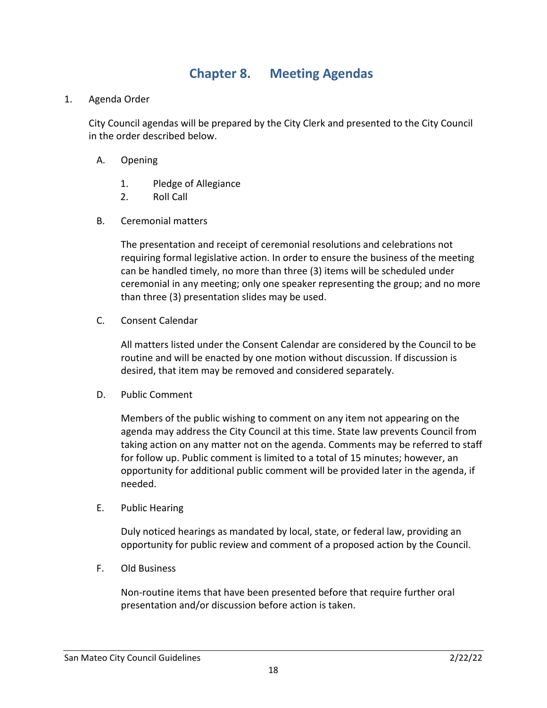#### **Chapter 8. Meeting Agendas**

<span id="page-17-0"></span>1. Agenda Order

City Council agendas will be prepared by the City Clerk and presented to the City Council in the order described below.

- A. Opening
	- 1. Pledge of Allegiance
	- 2. Roll Call
- B. Ceremonial matters

The presentation and receipt of ceremonial resolutions and celebrations not requiring formal legislative action. In order to ensure the business of the meeting can be handled timely, no more than three (3) items will be scheduled under ceremonial in any meeting; only one speaker representing the group; and no more than three (3) presentation slides may be used.

C. Consent Calendar

All matters listed under the Consent Calendar are considered by the Council to be routine and will be enacted by one motion without discussion. If discussion is desired, that item may be removed and considered separately.

D. Public Comment

Members of the public wishing to comment on any item not appearing on the agenda may address the City Council at this time. State law prevents Council from taking action on any matter not on the agenda. Comments may be referred to staff for follow up. Public comment is limited to a total of 15 minutes; however, an opportunity for additional public comment will be provided later in the agenda, if needed.

E. Public Hearing

Duly noticed hearings as mandated by local, state, or federal law, providing an opportunity for public review and comment of a proposed action by the Council.

F. Old Business

Non-routine items that have been presented before that require further oral presentation and/or discussion before action is taken.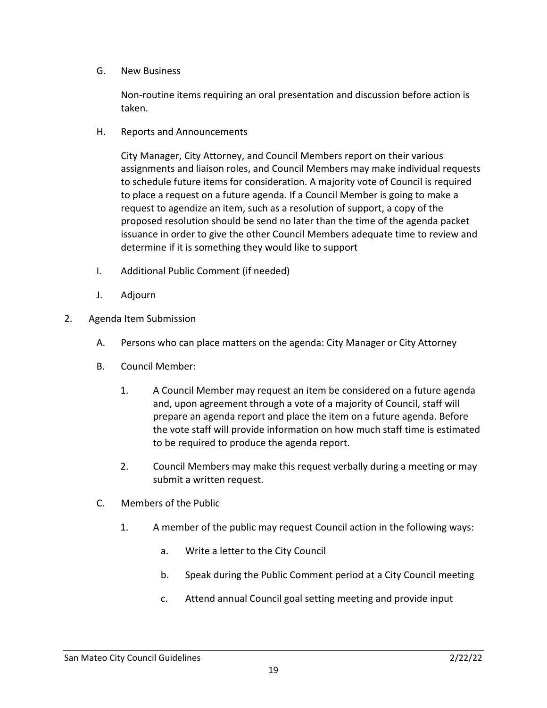G. New Business

Non-routine items requiring an oral presentation and discussion before action is taken.

H. Reports and Announcements

City Manager, City Attorney, and Council Members report on their various assignments and liaison roles, and Council Members may make individual requests to schedule future items for consideration. A majority vote of Council is required to place a request on a future agenda. If a Council Member is going to make a request to agendize an item, such as a resolution of support, a copy of the proposed resolution should be send no later than the time of the agenda packet issuance in order to give the other Council Members adequate time to review and determine if it is something they would like to support

- I. Additional Public Comment (if needed)
- J. Adjourn
- 2. Agenda Item Submission
	- A. Persons who can place matters on the agenda: City Manager or City Attorney
	- B. Council Member:
		- 1. A Council Member may request an item be considered on a future agenda and, upon agreement through a vote of a majority of Council, staff will prepare an agenda report and place the item on a future agenda. Before the vote staff will provide information on how much staff time is estimated to be required to produce the agenda report.
		- 2. Council Members may make this request verbally during a meeting or may submit a written request.
	- C. Members of the Public
		- 1. A member of the public may request Council action in the following ways:
			- a. Write a letter to the City Council
			- b. Speak during the Public Comment period at a City Council meeting
			- c. Attend annual Council goal setting meeting and provide input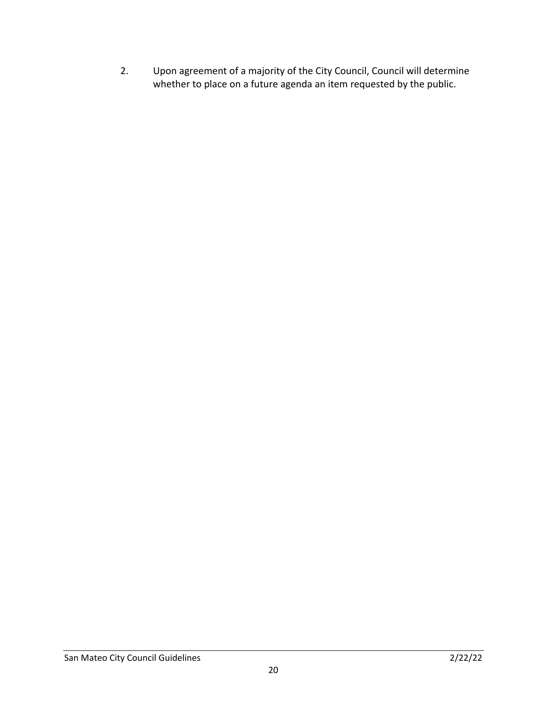2. Upon agreement of a majority of the City Council, Council will determine whether to place on a future agenda an item requested by the public.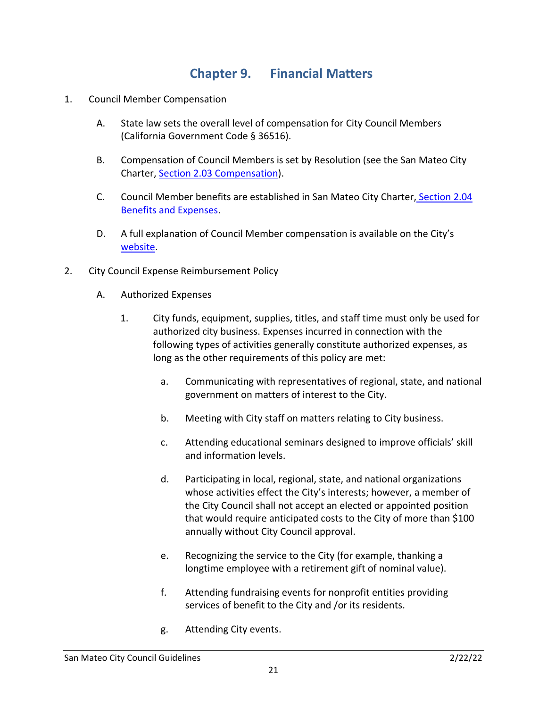#### **Chapter 9. Financial Matters**

- <span id="page-20-0"></span>1. Council Member Compensation
	- A. State law sets the overall level of compensation for City Council Members (California Government Code § 36516).
	- B. Compensation of Council Members is set by Resolution (see the San Mateo City Charter, [Section 2.03 Compensation\)](http://qcode.us/codes/sanmateo/view.php?topic=san_mateo_city_charter-ii-2_03&frames=off).
	- C. Council Member benefits are established in San Mateo City Charter, [Section 2.04](http://qcode.us/codes/sanmateo/view.php?topic=san_mateo_city_charter-ii-2_04&frames=off)  [Benefits and Expenses.](http://qcode.us/codes/sanmateo/view.php?topic=san_mateo_city_charter-ii-2_04&frames=off)
	- D. A full explanation of Council Member compensation is available on the City's [website.](http://www.cityofsanmateo.org/index.aspx?nid=2861)
- 2. City Council Expense Reimbursement Policy
	- A. Authorized Expenses
		- 1. City funds, equipment, supplies, titles, and staff time must only be used for authorized city business. Expenses incurred in connection with the following types of activities generally constitute authorized expenses, as long as the other requirements of this policy are met:
			- a. Communicating with representatives of regional, state, and national government on matters of interest to the City.
			- b. Meeting with City staff on matters relating to City business.
			- c. Attending educational seminars designed to improve officials' skill and information levels.
			- d. Participating in local, regional, state, and national organizations whose activities effect the City's interests; however, a member of the City Council shall not accept an elected or appointed position that would require anticipated costs to the City of more than \$100 annually without City Council approval.
			- e. Recognizing the service to the City (for example, thanking a longtime employee with a retirement gift of nominal value).
			- f. Attending fundraising events for nonprofit entities providing services of benefit to the City and /or its residents.
			- g. Attending City events.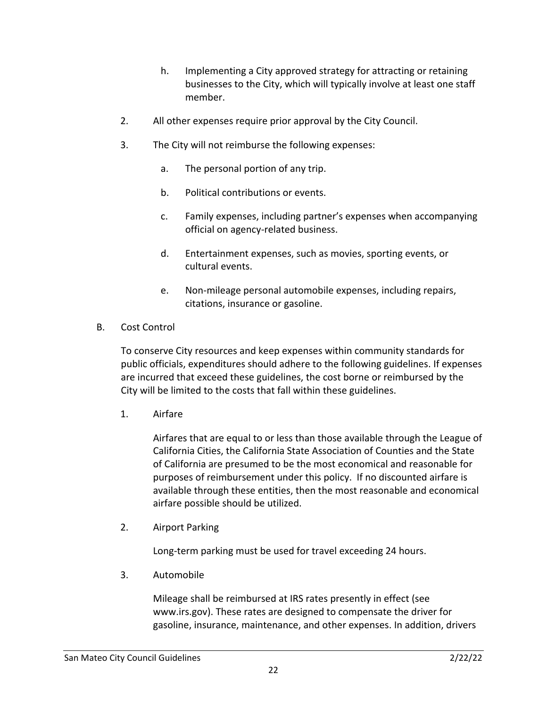- h. Implementing a City approved strategy for attracting or retaining businesses to the City, which will typically involve at least one staff member.
- 2. All other expenses require prior approval by the City Council.
- 3. The City will not reimburse the following expenses:
	- a. The personal portion of any trip.
	- b. Political contributions or events.
	- c. Family expenses, including partner's expenses when accompanying official on agency-related business.
	- d. Entertainment expenses, such as movies, sporting events, or cultural events.
	- e. Non-mileage personal automobile expenses, including repairs, citations, insurance or gasoline.
- B. Cost Control

To conserve City resources and keep expenses within community standards for public officials, expenditures should adhere to the following guidelines. If expenses are incurred that exceed these guidelines, the cost borne or reimbursed by the City will be limited to the costs that fall within these guidelines.

1. Airfare

Airfares that are equal to or less than those available through the League of California Cities, the California State Association of Counties and the State of California are presumed to be the most economical and reasonable for purposes of reimbursement under this policy. If no discounted airfare is available through these entities, then the most reasonable and economical airfare possible should be utilized.

2. Airport Parking

Long-term parking must be used for travel exceeding 24 hours.

3. Automobile

Mileage shall be reimbursed at IRS rates presently in effect (see www.irs.gov). These rates are designed to compensate the driver for gasoline, insurance, maintenance, and other expenses. In addition, drivers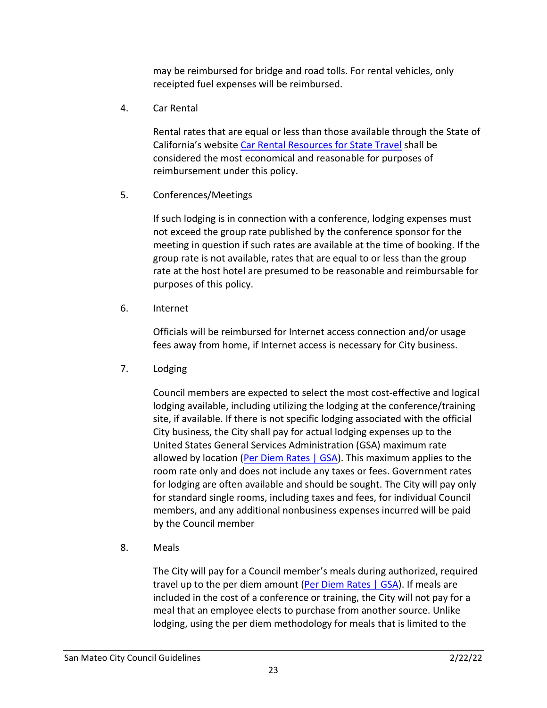may be reimbursed for bridge and road tolls. For rental vehicles, only receipted fuel expenses will be reimbursed.

4. Car Rental

Rental rates that are equal or less than those available through the State of California's website [Car Rental Resources for State Travel](https://www.dgs.ca.gov/OFAM/Travel/Resources/Page-Content/Resources-List-Folder/Car-Rental-Resources) shall be considered the most economical and reasonable for purposes of reimbursement under this policy.

5. Conferences/Meetings

If such lodging is in connection with a conference, lodging expenses must not exceed the group rate published by the conference sponsor for the meeting in question if such rates are available at the time of booking. If the group rate is not available, rates that are equal to or less than the group rate at the host hotel are presumed to be reasonable and reimbursable for purposes of this policy.

6. Internet

Officials will be reimbursed for Internet access connection and/or usage fees away from home, if Internet access is necessary for City business.

7. Lodging

Council members are expected to select the most cost-effective and logical lodging available, including utilizing the lodging at the conference/training site, if available. If there is not specific lodging associated with the official City business, the City shall pay for actual lodging expenses up to the United States General Services Administration (GSA) maximum rate allowed by location [\(Per Diem Rates | GSA\)](https://www.gsa.gov/travel/plan-book/per-diem-rates). This maximum applies to the room rate only and does not include any taxes or fees. Government rates for lodging are often available and should be sought. The City will pay only for standard single rooms, including taxes and fees, for individual Council members, and any additional nonbusiness expenses incurred will be paid by the Council member

8. Meals

The City will pay for a Council member's meals during authorized, required travel up to the per diem amount [\(Per Diem Rates | GSA\)](https://www.gsa.gov/travel/plan-book/per-diem-rates). If meals are included in the cost of a conference or training, the City will not pay for a meal that an employee elects to purchase from another source. Unlike lodging, using the per diem methodology for meals that is limited to the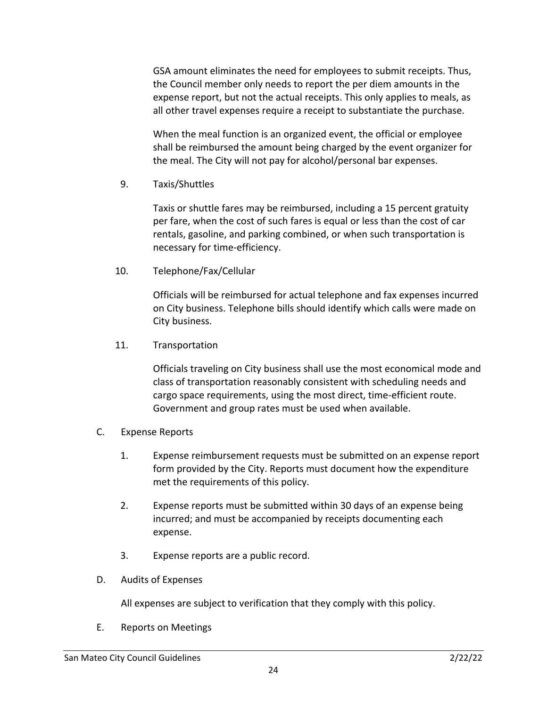GSA amount eliminates the need for employees to submit receipts. Thus, the Council member only needs to report the per diem amounts in the expense report, but not the actual receipts. This only applies to meals, as all other travel expenses require a receipt to substantiate the purchase.

When the meal function is an organized event, the official or employee shall be reimbursed the amount being charged by the event organizer for the meal. The City will not pay for alcohol/personal bar expenses.

9. Taxis/Shuttles

Taxis or shuttle fares may be reimbursed, including a 15 percent gratuity per fare, when the cost of such fares is equal or less than the cost of car rentals, gasoline, and parking combined, or when such transportation is necessary for time-efficiency.

10. Telephone/Fax/Cellular

Officials will be reimbursed for actual telephone and fax expenses incurred on City business. Telephone bills should identify which calls were made on City business.

11. Transportation

Officials traveling on City business shall use the most economical mode and class of transportation reasonably consistent with scheduling needs and cargo space requirements, using the most direct, time-efficient route. Government and group rates must be used when available.

- C. Expense Reports
	- 1. Expense reimbursement requests must be submitted on an expense report form provided by the City. Reports must document how the expenditure met the requirements of this policy.
	- 2. Expense reports must be submitted within 30 days of an expense being incurred; and must be accompanied by receipts documenting each expense.
	- 3. Expense reports are a public record.
- D. Audits of Expenses

All expenses are subject to verification that they comply with this policy.

E. Reports on Meetings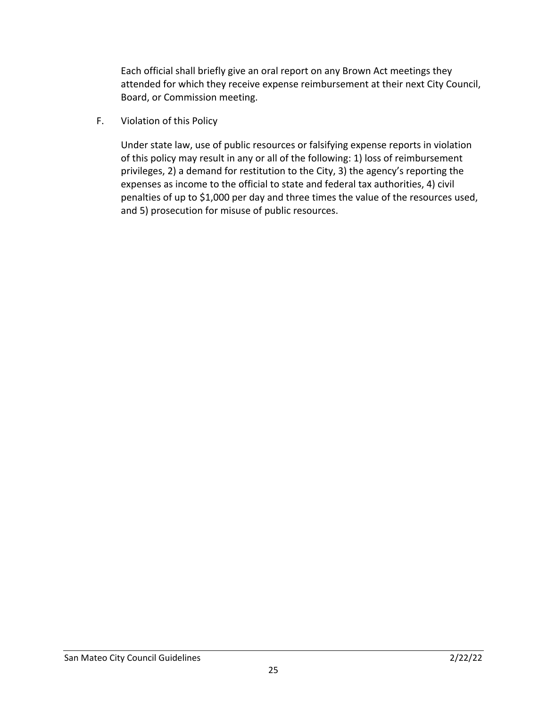Each official shall briefly give an oral report on any Brown Act meetings they attended for which they receive expense reimbursement at their next City Council, Board, or Commission meeting.

F. Violation of this Policy

Under state law, use of public resources or falsifying expense reports in violation of this policy may result in any or all of the following: 1) loss of reimbursement privileges, 2) a demand for restitution to the City, 3) the agency's reporting the expenses as income to the official to state and federal tax authorities, 4) civil penalties of up to \$1,000 per day and three times the value of the resources used, and 5) prosecution for misuse of public resources.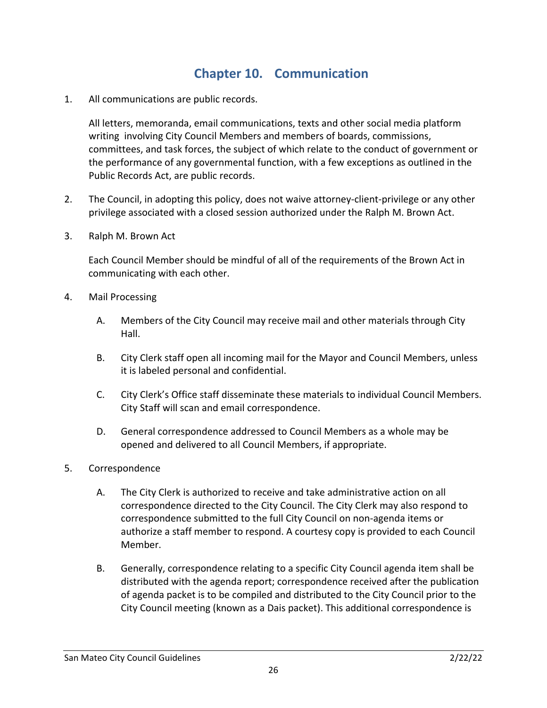### **Chapter 10. Communication**

<span id="page-25-0"></span>1. All communications are public records.

All letters, memoranda, email communications, texts and other social media platform writing involving City Council Members and members of boards, commissions, committees, and task forces, the subject of which relate to the conduct of government or the performance of any governmental function, with a few exceptions as outlined in the Public Records Act, are public records.

- 2. The Council, in adopting this policy, does not waive attorney-client-privilege or any other privilege associated with a closed session authorized under the Ralph M. Brown Act.
- 3. Ralph M. Brown Act

Each Council Member should be mindful of all of the requirements of the Brown Act in communicating with each other.

- 4. Mail Processing
	- A. Members of the City Council may receive mail and other materials through City Hall.
	- B. City Clerk staff open all incoming mail for the Mayor and Council Members, unless it is labeled personal and confidential.
	- C. City Clerk's Office staff disseminate these materials to individual Council Members. City Staff will scan and email correspondence.
	- D. General correspondence addressed to Council Members as a whole may be opened and delivered to all Council Members, if appropriate.
- 5. Correspondence
	- A. The City Clerk is authorized to receive and take administrative action on all correspondence directed to the City Council. The City Clerk may also respond to correspondence submitted to the full City Council on non-agenda items or authorize a staff member to respond. A courtesy copy is provided to each Council Member.
	- B. Generally, correspondence relating to a specific City Council agenda item shall be distributed with the agenda report; correspondence received after the publication of agenda packet is to be compiled and distributed to the City Council prior to the City Council meeting (known as a Dais packet). This additional correspondence is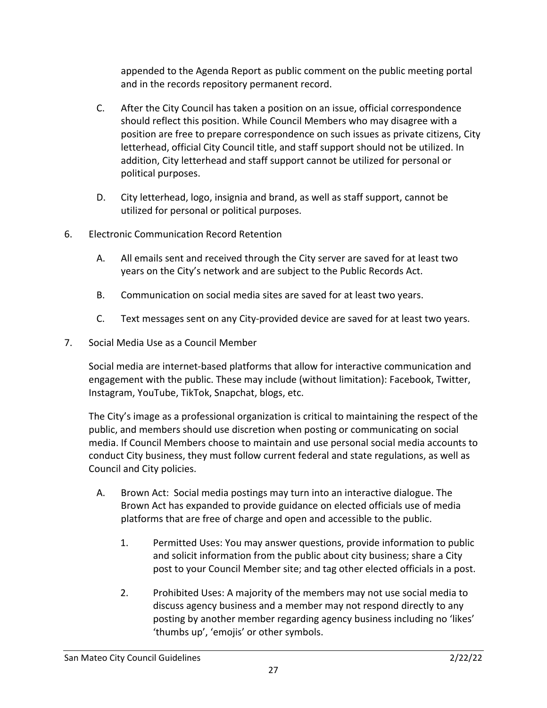appended to the Agenda Report as public comment on the public meeting portal and in the records repository permanent record.

- C. After the City Council has taken a position on an issue, official correspondence should reflect this position. While Council Members who may disagree with a position are free to prepare correspondence on such issues as private citizens, City letterhead, official City Council title, and staff support should not be utilized. In addition, City letterhead and staff support cannot be utilized for personal or political purposes.
- D. City letterhead, logo, insignia and brand, as well as staff support, cannot be utilized for personal or political purposes.
- 6. Electronic Communication Record Retention
	- A. All emails sent and received through the City server are saved for at least two years on the City's network and are subject to the Public Records Act.
	- B. Communication on social media sites are saved for at least two years.
	- C. Text messages sent on any City-provided device are saved for at least two years.
- 7. Social Media Use as a Council Member

Social media are internet-based platforms that allow for interactive communication and engagement with the public. These may include (without limitation): Facebook, Twitter, Instagram, YouTube, TikTok, Snapchat, blogs, etc.

The City's image as a professional organization is critical to maintaining the respect of the public, and members should use discretion when posting or communicating on social media. If Council Members choose to maintain and use personal social media accounts to conduct City business, they must follow current federal and state regulations, as well as Council and City policies.

- A. Brown Act: Social media postings may turn into an interactive dialogue. The Brown Act has expanded to provide guidance on elected officials use of media platforms that are free of charge and open and accessible to the public.
	- 1. Permitted Uses: You may answer questions, provide information to public and solicit information from the public about city business; share a City post to your Council Member site; and tag other elected officials in a post.
	- 2. Prohibited Uses: A majority of the members may not use social media to discuss agency business and a member may not respond directly to any posting by another member regarding agency business including no 'likes' 'thumbs up', 'emojis' or other symbols.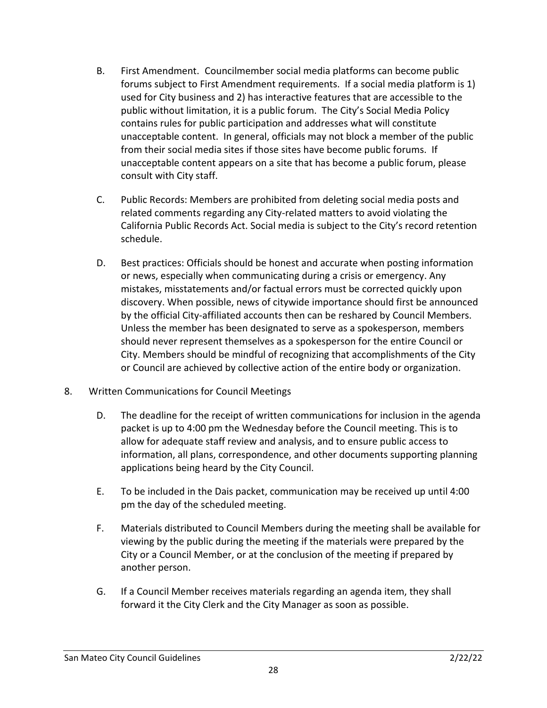- B. First Amendment. Councilmember social media platforms can become public forums subject to First Amendment requirements. If a social media platform is 1) used for City business and 2) has interactive features that are accessible to the public without limitation, it is a public forum. The City's Social Media Policy contains rules for public participation and addresses what will constitute unacceptable content. In general, officials may not block a member of the public from their social media sites if those sites have become public forums. If unacceptable content appears on a site that has become a public forum, please consult with City staff.
- C. Public Records: Members are prohibited from deleting social media posts and related comments regarding any City-related matters to avoid violating the California Public Records Act. Social media is subject to the City's record retention schedule.
- D. Best practices: Officials should be honest and accurate when posting information or news, especially when communicating during a crisis or emergency. Any mistakes, misstatements and/or factual errors must be corrected quickly upon discovery. When possible, news of citywide importance should first be announced by the official City-affiliated accounts then can be reshared by Council Members. Unless the member has been designated to serve as a spokesperson, members should never represent themselves as a spokesperson for the entire Council or City. Members should be mindful of recognizing that accomplishments of the City or Council are achieved by collective action of the entire body or organization.
- 8. Written Communications for Council Meetings
	- D. The deadline for the receipt of written communications for inclusion in the agenda packet is up to 4:00 pm the Wednesday before the Council meeting. This is to allow for adequate staff review and analysis, and to ensure public access to information, all plans, correspondence, and other documents supporting planning applications being heard by the City Council.
	- E. To be included in the Dais packet, communication may be received up until 4:00 pm the day of the scheduled meeting.
	- F. Materials distributed to Council Members during the meeting shall be available for viewing by the public during the meeting if the materials were prepared by the City or a Council Member, or at the conclusion of the meeting if prepared by another person.
	- G. If a Council Member receives materials regarding an agenda item, they shall forward it the City Clerk and the City Manager as soon as possible.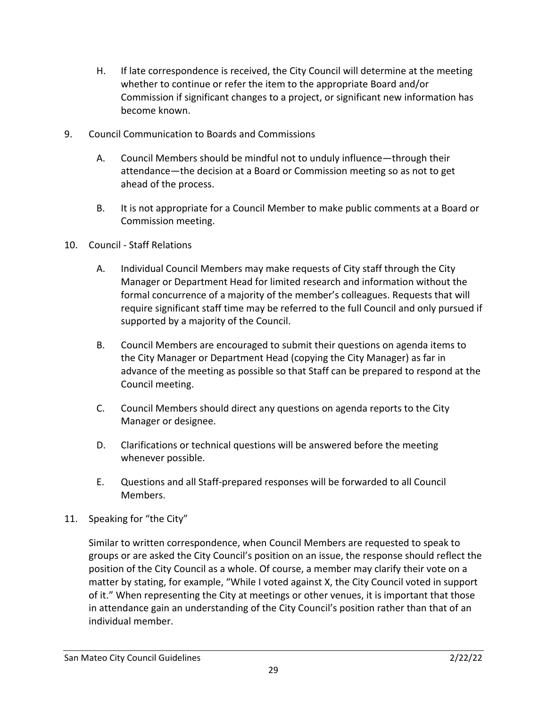- H. If late correspondence is received, the City Council will determine at the meeting whether to continue or refer the item to the appropriate Board and/or Commission if significant changes to a project, or significant new information has become known.
- 9. Council Communication to Boards and Commissions
	- A. Council Members should be mindful not to unduly influence—through their attendance—the decision at a Board or Commission meeting so as not to get ahead of the process.
	- B. It is not appropriate for a Council Member to make public comments at a Board or Commission meeting.
- 10. Council Staff Relations
	- A. Individual Council Members may make requests of City staff through the City Manager or Department Head for limited research and information without the formal concurrence of a majority of the member's colleagues. Requests that will require significant staff time may be referred to the full Council and only pursued if supported by a majority of the Council.
	- B. Council Members are encouraged to submit their questions on agenda items to the City Manager or Department Head (copying the City Manager) as far in advance of the meeting as possible so that Staff can be prepared to respond at the Council meeting.
	- C. Council Members should direct any questions on agenda reports to the City Manager or designee.
	- D. Clarifications or technical questions will be answered before the meeting whenever possible.
	- E. Questions and all Staff-prepared responses will be forwarded to all Council Members.
- 11. Speaking for "the City"

Similar to written correspondence, when Council Members are requested to speak to groups or are asked the City Council's position on an issue, the response should reflect the position of the City Council as a whole. Of course, a member may clarify their vote on a matter by stating, for example, "While I voted against X, the City Council voted in support of it." When representing the City at meetings or other venues, it is important that those in attendance gain an understanding of the City Council's position rather than that of an individual member.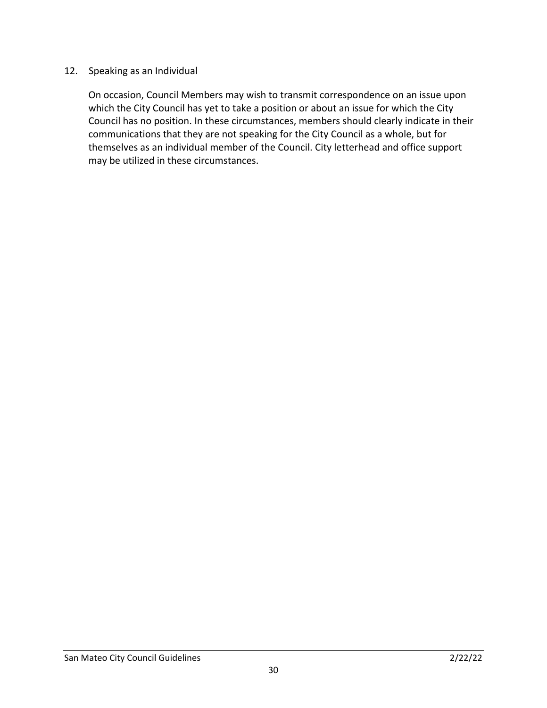#### 12. Speaking as an Individual

On occasion, Council Members may wish to transmit correspondence on an issue upon which the City Council has yet to take a position or about an issue for which the City Council has no position. In these circumstances, members should clearly indicate in their communications that they are not speaking for the City Council as a whole, but for themselves as an individual member of the Council. City letterhead and office support may be utilized in these circumstances.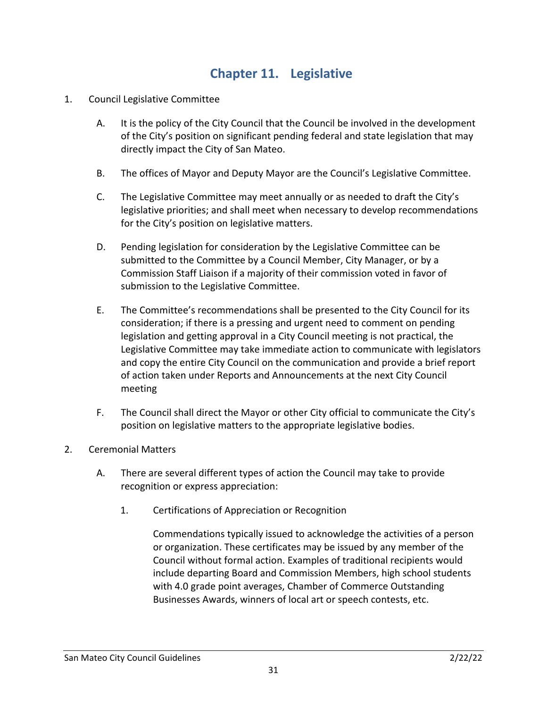#### **Chapter 11. Legislative**

- <span id="page-30-0"></span>1. Council Legislative Committee
	- A. It is the policy of the City Council that the Council be involved in the development of the City's position on significant pending federal and state legislation that may directly impact the City of San Mateo.
	- B. The offices of Mayor and Deputy Mayor are the Council's Legislative Committee.
	- C. The Legislative Committee may meet annually or as needed to draft the City's legislative priorities; and shall meet when necessary to develop recommendations for the City's position on legislative matters.
	- D. Pending legislation for consideration by the Legislative Committee can be submitted to the Committee by a Council Member, City Manager, or by a Commission Staff Liaison if a majority of their commission voted in favor of submission to the Legislative Committee.
	- E. The Committee's recommendations shall be presented to the City Council for its consideration; if there is a pressing and urgent need to comment on pending legislation and getting approval in a City Council meeting is not practical, the Legislative Committee may take immediate action to communicate with legislators and copy the entire City Council on the communication and provide a brief report of action taken under Reports and Announcements at the next City Council meeting
	- F. The Council shall direct the Mayor or other City official to communicate the City's position on legislative matters to the appropriate legislative bodies.
- 2. Ceremonial Matters
	- A. There are several different types of action the Council may take to provide recognition or express appreciation:
		- 1. Certifications of Appreciation or Recognition

Commendations typically issued to acknowledge the activities of a person or organization. These certificates may be issued by any member of the Council without formal action. Examples of traditional recipients would include departing Board and Commission Members, high school students with 4.0 grade point averages, Chamber of Commerce Outstanding Businesses Awards, winners of local art or speech contests, etc.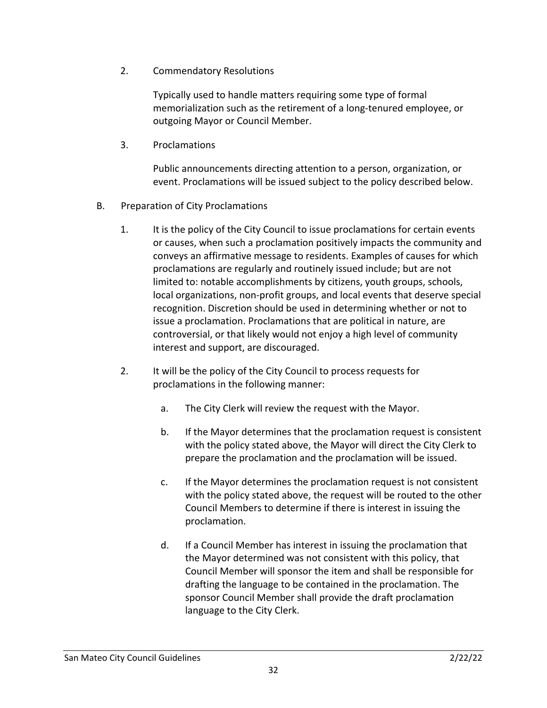2. Commendatory Resolutions

Typically used to handle matters requiring some type of formal memorialization such as the retirement of a long-tenured employee, or outgoing Mayor or Council Member.

3. Proclamations

Public announcements directing attention to a person, organization, or event. Proclamations will be issued subject to the policy described below.

- B. Preparation of City Proclamations
	- 1. It is the policy of the City Council to issue proclamations for certain events or causes, when such a proclamation positively impacts the community and conveys an affirmative message to residents. Examples of causes for which proclamations are regularly and routinely issued include; but are not limited to: notable accomplishments by citizens, youth groups, schools, local organizations, non-profit groups, and local events that deserve special recognition. Discretion should be used in determining whether or not to issue a proclamation. Proclamations that are political in nature, are controversial, or that likely would not enjoy a high level of community interest and support, are discouraged.
	- 2. It will be the policy of the City Council to process requests for proclamations in the following manner:
		- a. The City Clerk will review the request with the Mayor.
		- b. If the Mayor determines that the proclamation request is consistent with the policy stated above, the Mayor will direct the City Clerk to prepare the proclamation and the proclamation will be issued.
		- c. If the Mayor determines the proclamation request is not consistent with the policy stated above, the request will be routed to the other Council Members to determine if there is interest in issuing the proclamation.
		- d. If a Council Member has interest in issuing the proclamation that the Mayor determined was not consistent with this policy, that Council Member will sponsor the item and shall be responsible for drafting the language to be contained in the proclamation. The sponsor Council Member shall provide the draft proclamation language to the City Clerk.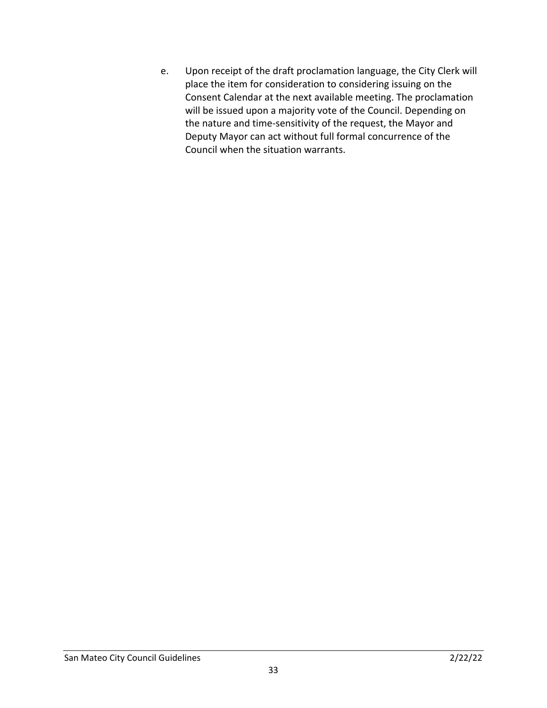e. Upon receipt of the draft proclamation language, the City Clerk will place the item for consideration to considering issuing on the Consent Calendar at the next available meeting. The proclamation will be issued upon a majority vote of the Council. Depending on the nature and time-sensitivity of the request, the Mayor and Deputy Mayor can act without full formal concurrence of the Council when the situation warrants.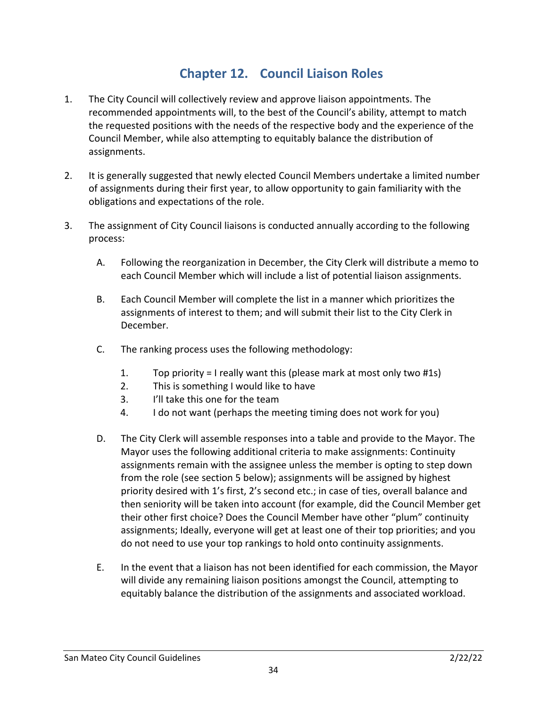#### **Chapter 12. Council Liaison Roles**

- <span id="page-33-0"></span>1. The City Council will collectively review and approve liaison appointments. The recommended appointments will, to the best of the Council's ability, attempt to match the requested positions with the needs of the respective body and the experience of the Council Member, while also attempting to equitably balance the distribution of assignments.
- 2. It is generally suggested that newly elected Council Members undertake a limited number of assignments during their first year, to allow opportunity to gain familiarity with the obligations and expectations of the role.
- 3. The assignment of City Council liaisons is conducted annually according to the following process:
	- A. Following the reorganization in December, the City Clerk will distribute a memo to each Council Member which will include a list of potential liaison assignments.
	- B. Each Council Member will complete the list in a manner which prioritizes the assignments of interest to them; and will submit their list to the City Clerk in December.
	- C. The ranking process uses the following methodology:
		- 1. Top priority = I really want this (please mark at most only two #1s)
		- 2. This is something I would like to have
		- 3. I'll take this one for the team
		- 4. I do not want (perhaps the meeting timing does not work for you)
	- D. The City Clerk will assemble responses into a table and provide to the Mayor. The Mayor uses the following additional criteria to make assignments: Continuity assignments remain with the assignee unless the member is opting to step down from the role (see section 5 below); assignments will be assigned by highest priority desired with 1's first, 2's second etc.; in case of ties, overall balance and then seniority will be taken into account (for example, did the Council Member get their other first choice? Does the Council Member have other "plum" continuity assignments; Ideally, everyone will get at least one of their top priorities; and you do not need to use your top rankings to hold onto continuity assignments.
	- E. In the event that a liaison has not been identified for each commission, the Mayor will divide any remaining liaison positions amongst the Council, attempting to equitably balance the distribution of the assignments and associated workload.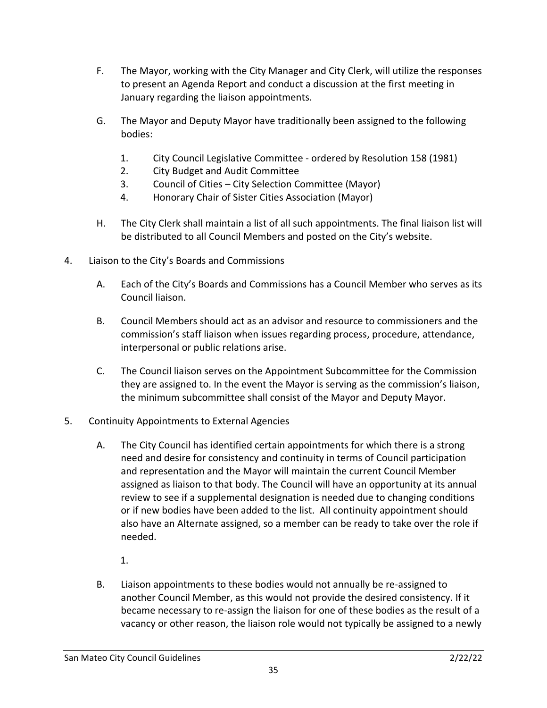- F. The Mayor, working with the City Manager and City Clerk, will utilize the responses to present an Agenda Report and conduct a discussion at the first meeting in January regarding the liaison appointments.
- G. The Mayor and Deputy Mayor have traditionally been assigned to the following bodies:
	- 1. City Council Legislative Committee ordered by Resolution 158 (1981)
	- 2. City Budget and Audit Committee
	- 3. Council of Cities City Selection Committee (Mayor)
	- 4. Honorary Chair of Sister Cities Association (Mayor)
- H. The City Clerk shall maintain a list of all such appointments. The final liaison list will be distributed to all Council Members and posted on the City's website.
- 4. Liaison to the City's Boards and Commissions
	- A. Each of the City's Boards and Commissions has a Council Member who serves as its Council liaison.
	- B. Council Members should act as an advisor and resource to commissioners and the commission's staff liaison when issues regarding process, procedure, attendance, interpersonal or public relations arise.
	- C. The Council liaison serves on the Appointment Subcommittee for the Commission they are assigned to. In the event the Mayor is serving as the commission's liaison, the minimum subcommittee shall consist of the Mayor and Deputy Mayor.
- 5. Continuity Appointments to External Agencies
	- A. The City Council has identified certain appointments for which there is a strong need and desire for consistency and continuity in terms of Council participation and representation and the Mayor will maintain the current Council Member assigned as liaison to that body. The Council will have an opportunity at its annual review to see if a supplemental designation is needed due to changing conditions or if new bodies have been added to the list. All continuity appointment should also have an Alternate assigned, so a member can be ready to take over the role if needed.
		- 1.
	- B. Liaison appointments to these bodies would not annually be re-assigned to another Council Member, as this would not provide the desired consistency. If it became necessary to re-assign the liaison for one of these bodies as the result of a vacancy or other reason, the liaison role would not typically be assigned to a newly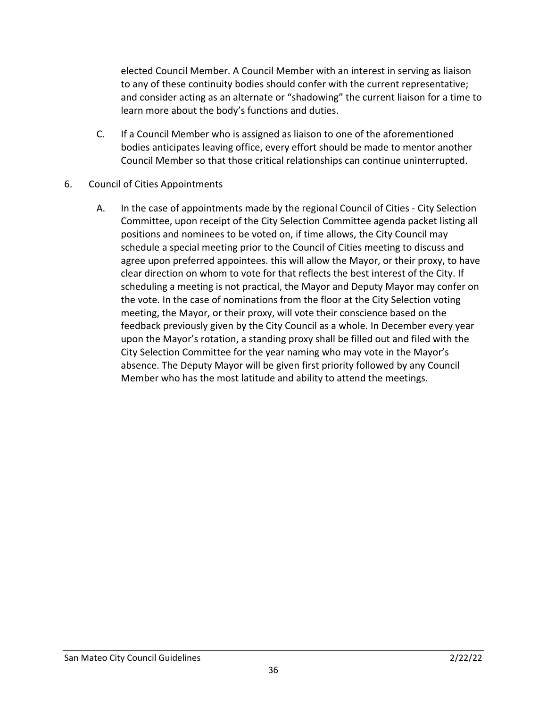elected Council Member. A Council Member with an interest in serving as liaison to any of these continuity bodies should confer with the current representative; and consider acting as an alternate or "shadowing" the current liaison for a time to learn more about the body's functions and duties.

- C. If a Council Member who is assigned as liaison to one of the aforementioned bodies anticipates leaving office, every effort should be made to mentor another Council Member so that those critical relationships can continue uninterrupted.
- 6. Council of Cities Appointments
	- A. In the case of appointments made by the regional Council of Cities City Selection Committee, upon receipt of the City Selection Committee agenda packet listing all positions and nominees to be voted on, if time allows, the City Council may schedule a special meeting prior to the Council of Cities meeting to discuss and agree upon preferred appointees. this will allow the Mayor, or their proxy, to have clear direction on whom to vote for that reflects the best interest of the City. If scheduling a meeting is not practical, the Mayor and Deputy Mayor may confer on the vote. In the case of nominations from the floor at the City Selection voting meeting, the Mayor, or their proxy, will vote their conscience based on the feedback previously given by the City Council as a whole. In December every year upon the Mayor's rotation, a standing proxy shall be filled out and filed with the City Selection Committee for the year naming who may vote in the Mayor's absence. The Deputy Mayor will be given first priority followed by any Council Member who has the most latitude and ability to attend the meetings.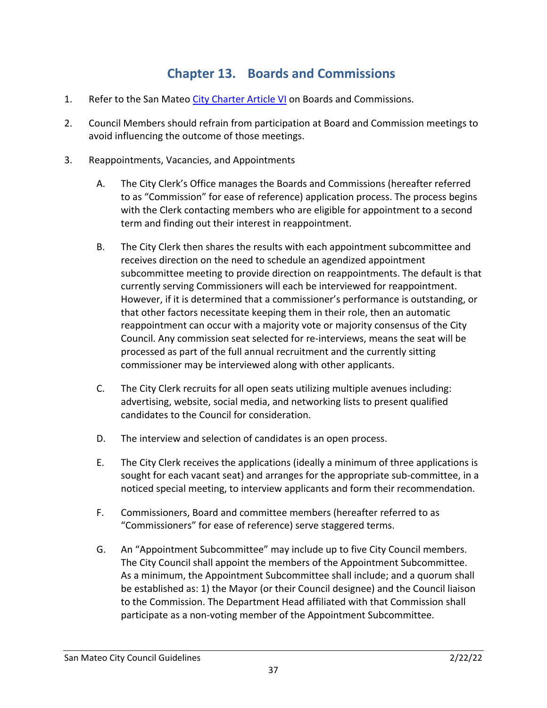### **Chapter 13. Boards and Commissions**

- <span id="page-36-0"></span>1. Refer to the San Mateo [City Charter Article VI](http://qcode.us/codes/sanmateo/view.php?topic=san_mateo_city_charter-vi&frames=on) on Boards and Commissions.
- 2. Council Members should refrain from participation at Board and Commission meetings to avoid influencing the outcome of those meetings.
- 3. Reappointments, Vacancies, and Appointments
	- A. The City Clerk's Office manages the Boards and Commissions (hereafter referred to as "Commission" for ease of reference) application process. The process begins with the Clerk contacting members who are eligible for appointment to a second term and finding out their interest in reappointment.
	- B. The City Clerk then shares the results with each appointment subcommittee and receives direction on the need to schedule an agendized appointment subcommittee meeting to provide direction on reappointments. The default is that currently serving Commissioners will each be interviewed for reappointment. However, if it is determined that a commissioner's performance is outstanding, or that other factors necessitate keeping them in their role, then an automatic reappointment can occur with a majority vote or majority consensus of the City Council. Any commission seat selected for re-interviews, means the seat will be processed as part of the full annual recruitment and the currently sitting commissioner may be interviewed along with other applicants.
	- C. The City Clerk recruits for all open seats utilizing multiple avenues including: advertising, website, social media, and networking lists to present qualified candidates to the Council for consideration.
	- D. The interview and selection of candidates is an open process.
	- E. The City Clerk receives the applications (ideally a minimum of three applications is sought for each vacant seat) and arranges for the appropriate sub-committee, in a noticed special meeting, to interview applicants and form their recommendation.
	- F. Commissioners, Board and committee members (hereafter referred to as "Commissioners" for ease of reference) serve staggered terms.
	- G. An "Appointment Subcommittee" may include up to five City Council members. The City Council shall appoint the members of the Appointment Subcommittee. As a minimum, the Appointment Subcommittee shall include; and a quorum shall be established as: 1) the Mayor (or their Council designee) and the Council liaison to the Commission. The Department Head affiliated with that Commission shall participate as a non-voting member of the Appointment Subcommittee.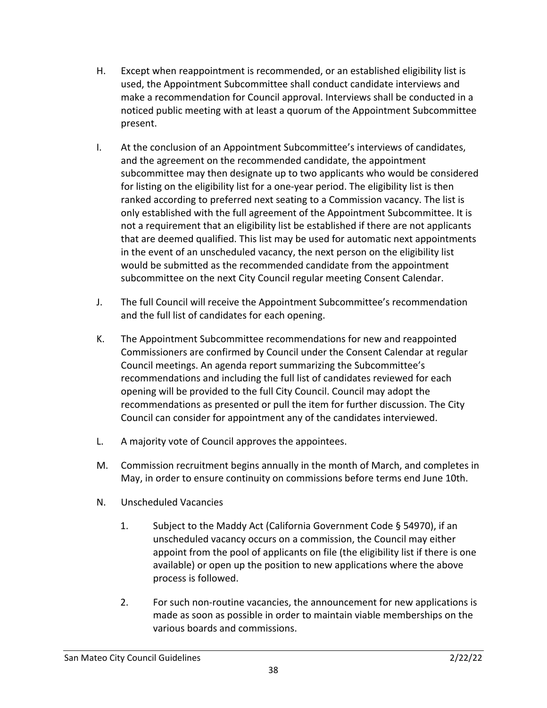- H. Except when reappointment is recommended, or an established eligibility list is used, the Appointment Subcommittee shall conduct candidate interviews and make a recommendation for Council approval. Interviews shall be conducted in a noticed public meeting with at least a quorum of the Appointment Subcommittee present.
- I. At the conclusion of an Appointment Subcommittee's interviews of candidates, and the agreement on the recommended candidate, the appointment subcommittee may then designate up to two applicants who would be considered for listing on the eligibility list for a one-year period. The eligibility list is then ranked according to preferred next seating to a Commission vacancy. The list is only established with the full agreement of the Appointment Subcommittee. It is not a requirement that an eligibility list be established if there are not applicants that are deemed qualified. This list may be used for automatic next appointments in the event of an unscheduled vacancy, the next person on the eligibility list would be submitted as the recommended candidate from the appointment subcommittee on the next City Council regular meeting Consent Calendar.
- J. The full Council will receive the Appointment Subcommittee's recommendation and the full list of candidates for each opening.
- K. The Appointment Subcommittee recommendations for new and reappointed Commissioners are confirmed by Council under the Consent Calendar at regular Council meetings. An agenda report summarizing the Subcommittee's recommendations and including the full list of candidates reviewed for each opening will be provided to the full City Council. Council may adopt the recommendations as presented or pull the item for further discussion. The City Council can consider for appointment any of the candidates interviewed.
- L. A majority vote of Council approves the appointees.
- M. Commission recruitment begins annually in the month of March, and completes in May, in order to ensure continuity on commissions before terms end June 10th.
- N. Unscheduled Vacancies
	- 1. Subject to the Maddy Act (California Government Code § 54970), if an unscheduled vacancy occurs on a commission, the Council may either appoint from the pool of applicants on file (the eligibility list if there is one available) or open up the position to new applications where the above process is followed.
	- 2. For such non-routine vacancies, the announcement for new applications is made as soon as possible in order to maintain viable memberships on the various boards and commissions.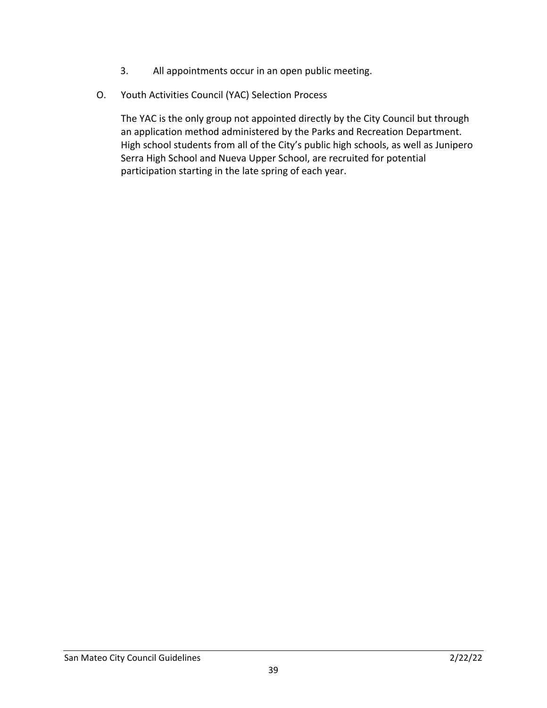- 3. All appointments occur in an open public meeting.
- O. Youth Activities Council (YAC) Selection Process

The YAC is the only group not appointed directly by the City Council but through an application method administered by the Parks and Recreation Department. High school students from all of the City's public high schools, as well as Junipero Serra High School and Nueva Upper School, are recruited for potential participation starting in the late spring of each year.